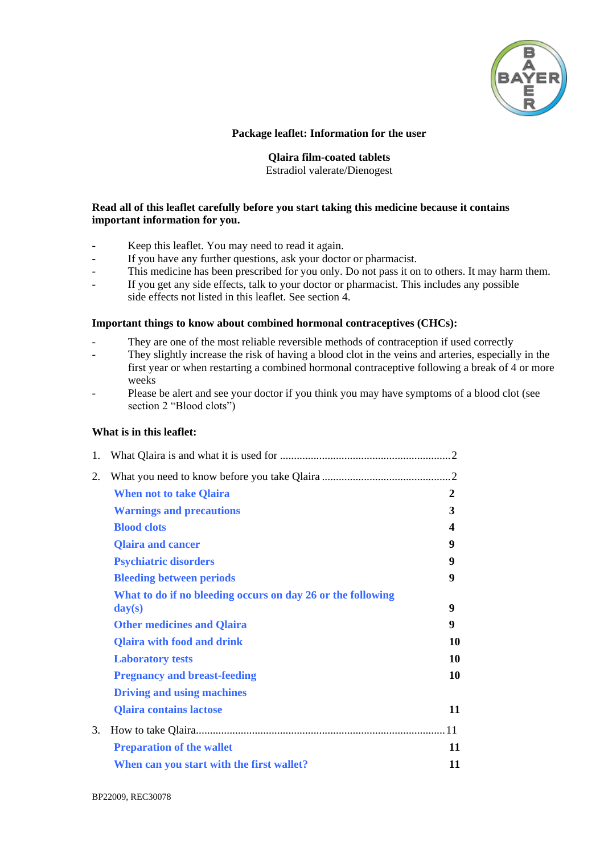

# **Package leaflet: Information for the user**

# **Qlaira film-coated tablets**

Estradiol valerate/Dienogest

### **Read all of this leaflet carefully before you start taking this medicine because it contains important information for you.**

- Keep this leaflet. You may need to read it again.
- If you have any further questions, ask your doctor or pharmacist.
- This medicine has been prescribed for you only. Do not pass it on to others. It may harm them.
- If you get any side effects, talk to your doctor or pharmacist. This includes any possible side effects not listed in this leaflet. See section 4.

#### **Important things to know about combined hormonal contraceptives (CHCs):**

- They are one of the most reliable reversible methods of contraception if used correctly
- They slightly increase the risk of having a blood clot in the veins and arteries, especially in the first year or when restarting a combined hormonal contraceptive following a break of 4 or more weeks
- Please be alert and see your doctor if you think you may have symptoms of a blood clot (see section 2 "Blood clots")

# **What is in this leaflet:**

| 1. |                                                                                           |    |
|----|-------------------------------------------------------------------------------------------|----|
| 2. |                                                                                           |    |
|    | <b>When not to take Qlaira</b>                                                            | 2  |
|    | <b>Warnings and precautions</b>                                                           | 3  |
|    | <b>Blood clots</b>                                                                        | 4  |
|    | <b>Qlaira and cancer</b>                                                                  | 9  |
|    | <b>Psychiatric disorders</b>                                                              | 9  |
|    | <b>Bleeding between periods</b>                                                           | 9  |
|    | What to do if no bleeding occurs on day 26 or the following<br>$\mathbf{day}(\mathbf{s})$ | 9  |
|    | <b>Other medicines and Qlaira</b>                                                         | 9  |
|    | <b>Qlaira with food and drink</b>                                                         | 10 |
|    | <b>Laboratory tests</b>                                                                   | 10 |
|    | <b>Pregnancy and breast-feeding</b>                                                       | 10 |
|    | <b>Driving and using machines</b>                                                         |    |
|    | <b>Qlaira contains lactose</b>                                                            | 11 |
| 3. |                                                                                           |    |
|    | <b>Preparation of the wallet</b>                                                          | 11 |
|    | When can you start with the first wallet?                                                 | 11 |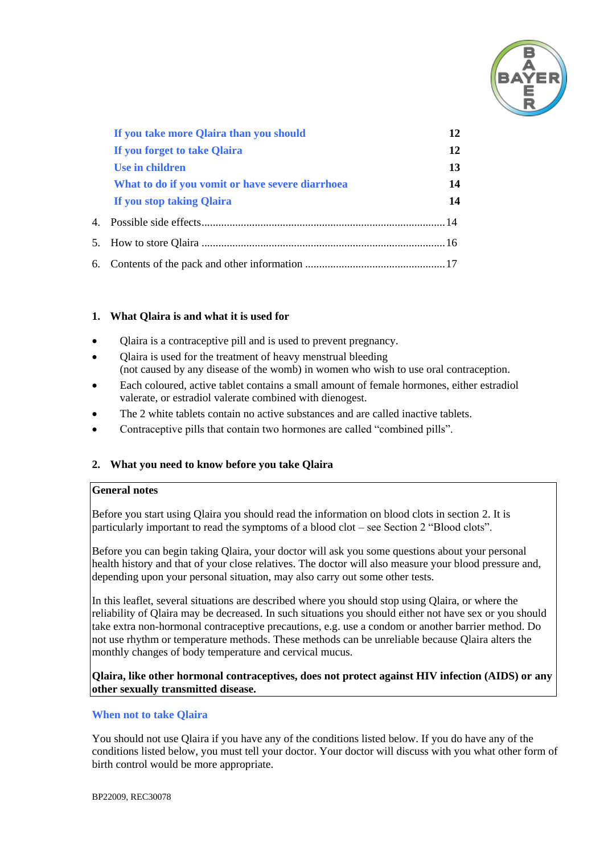

| If you take more Qlaira than you should          | 12 |
|--------------------------------------------------|----|
| If you forget to take Qlaira                     | 12 |
| Use in children                                  | 13 |
| What to do if you vomit or have severe diarrhoea | 14 |
| If you stop taking Qlaira                        | 14 |
|                                                  |    |
|                                                  |    |
|                                                  |    |

# **1. What Qlaira is and what it is used for**

- Qlaira is a contraceptive pill and is used to prevent pregnancy.
- Olaira is used for the treatment of heavy menstrual bleeding (not caused by any disease of the womb) in women who wish to use oral contraception.
- Each coloured, active tablet contains a small amount of female hormones, either estradiol valerate, or estradiol valerate combined with dienogest.
- The 2 white tablets contain no active substances and are called inactive tablets.
- Contraceptive pills that contain two hormones are called "combined pills".

# **2. What you need to know before you take Qlaira**

#### **General notes**

Before you start using Qlaira you should read the information on blood clots in section 2. It is particularly important to read the symptoms of a blood clot – see Section 2 "Blood clots".

Before you can begin taking Qlaira, your doctor will ask you some questions about your personal health history and that of your close relatives. The doctor will also measure your blood pressure and, depending upon your personal situation, may also carry out some other tests.

In this leaflet, several situations are described where you should stop using Qlaira, or where the reliability of Qlaira may be decreased. In such situations you should either not have sex or you should take extra non-hormonal contraceptive precautions, e.g. use a condom or another barrier method. Do not use rhythm or temperature methods. These methods can be unreliable because Qlaira alters the monthly changes of body temperature and cervical mucus.

# **Qlaira, like other hormonal contraceptives, does not protect against HIV infection (AIDS) or any other sexually transmitted disease.**

#### **When not to take Qlaira**

You should not use Qlaira if you have any of the conditions listed below. If you do have any of the conditions listed below, you must tell your doctor. Your doctor will discuss with you what other form of birth control would be more appropriate.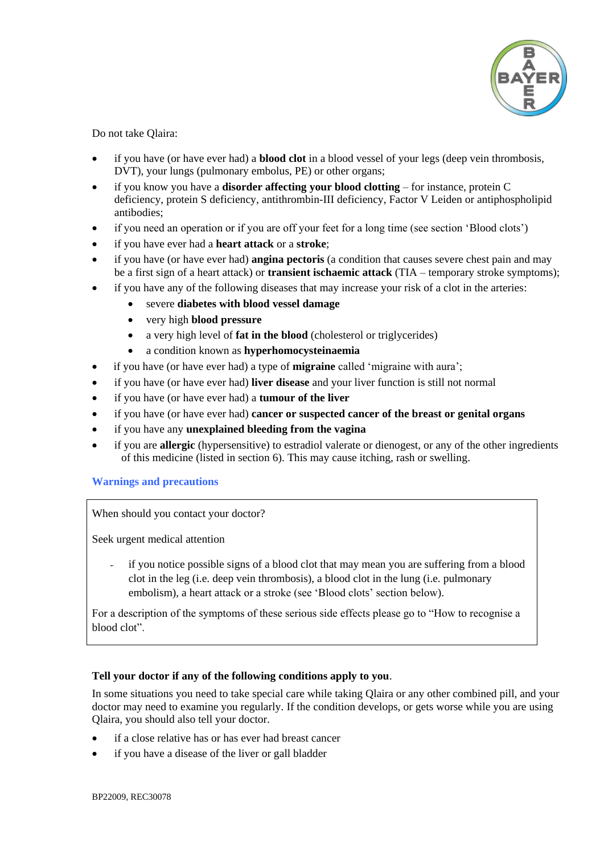

Do not take Qlaira:

- if you have (or have ever had) a **blood clot** in a blood vessel of your legs (deep vein thrombosis, DVT), your lungs (pulmonary embolus, PE) or other organs;
- if you know you have a **disorder affecting your blood clotting** for instance, protein C deficiency, protein S deficiency, antithrombin-III deficiency, Factor V Leiden or antiphospholipid antibodies;
- if you need an operation or if you are off your feet for a long time (see section 'Blood clots')
- if you have ever had a **heart attack** or a **stroke**;
- if you have (or have ever had) **angina pectoris** (a condition that causes severe chest pain and may be a first sign of a heart attack) or **transient ischaemic attack** (TIA – temporary stroke symptoms);
- if you have any of the following diseases that may increase your risk of a clot in the arteries:
	- severe **diabetes with blood vessel damage**
	- very high **blood pressure**
	- a very high level of **fat in the blood** (cholesterol or triglycerides)
	- a condition known as **hyperhomocysteinaemia**
- if you have (or have ever had) a type of **migraine** called 'migraine with aura';
- if you have (or have ever had) **liver disease** and your liver function is still not normal
- if you have (or have ever had) a **tumour of the liver**
- if you have (or have ever had) **cancer or suspected cancer of the breast or genital organs**
- if you have any **unexplained bleeding from the vagina**
- if you are **allergic** (hypersensitive) to estradiol valerate or dienogest, or any of the other ingredients of this medicine (listed in section 6). This may cause itching, rash or swelling.

# **Warnings and precautions**

When should you contact your doctor?

Seek urgent medical attention

if you notice possible signs of a blood clot that may mean you are suffering from a blood clot in the leg (i.e. deep vein thrombosis), a blood clot in the lung (i.e. pulmonary embolism), a heart attack or a stroke (see 'Blood clots' section below).

For a description of the symptoms of these serious side effects please go to "How to recognise a blood clot".

# **Tell your doctor if any of the following conditions apply to you**.

In some situations you need to take special care while taking Qlaira or any other combined pill, and your doctor may need to examine you regularly. If the condition develops, or gets worse while you are using Qlaira, you should also tell your doctor.

- if a close relative has or has ever had breast cancer
- if you have a disease of the liver or gall bladder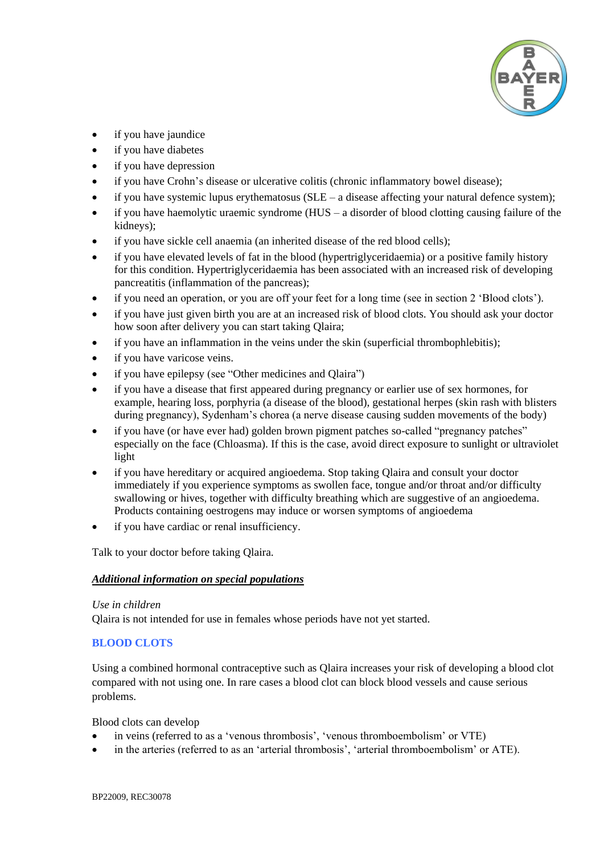

- if you have jaundice
- if you have diabetes
- if you have depression
- if you have Crohn's disease or ulcerative colitis (chronic inflammatory bowel disease);
- $\bullet$  if you have systemic lupus erythematosus (SLE a disease affecting your natural defence system);
- $\bullet$  if you have haemolytic uraemic syndrome (HUS a disorder of blood clotting causing failure of the kidneys);
- if you have sickle cell anaemia (an inherited disease of the red blood cells);
- if you have elevated levels of fat in the blood (hypertriglyceridaemia) or a positive family history for this condition. Hypertriglyceridaemia has been associated with an increased risk of developing pancreatitis (inflammation of the pancreas);
- if you need an operation, or you are off your feet for a long time (see in section 2 'Blood clots').
- if you have just given birth you are at an increased risk of blood clots. You should ask your doctor how soon after delivery you can start taking Qlaira;
- if you have an inflammation in the veins under the skin (superficial thrombophlebitis);
- if you have varicose veins.
- if you have epilepsy (see "Other medicines and Qlaira")
- if you have a disease that first appeared during pregnancy or earlier use of sex hormones, for example, hearing loss, porphyria (a disease of the blood), gestational herpes (skin rash with blisters during pregnancy), Sydenham's chorea (a nerve disease causing sudden movements of the body)
- if you have (or have ever had) golden brown pigment patches so-called "pregnancy patches" especially on the face (Chloasma). If this is the case, avoid direct exposure to sunlight or ultraviolet light
- if you have hereditary or acquired angioedema. Stop taking Qlaira and consult your doctor immediately if you experience symptoms as swollen face, tongue and/or throat and/or difficulty swallowing or hives, together with difficulty breathing which are suggestive of an angioedema. Products containing oestrogens may induce or worsen symptoms of angioedema
- if you have cardiac or renal insufficiency.

Talk to your doctor before taking Qlaira.

# *Additional information on special populations*

#### *Use in children*

Qlaira is not intended for use in females whose periods have not yet started.

# **BLOOD CLOTS**

Using a combined hormonal contraceptive such as Qlaira increases your risk of developing a blood clot compared with not using one. In rare cases a blood clot can block blood vessels and cause serious problems.

Blood clots can develop

- in veins (referred to as a 'venous thrombosis', 'venous thromboembolism' or VTE)
- in the arteries (referred to as an 'arterial thrombosis', 'arterial thromboembolism' or ATE).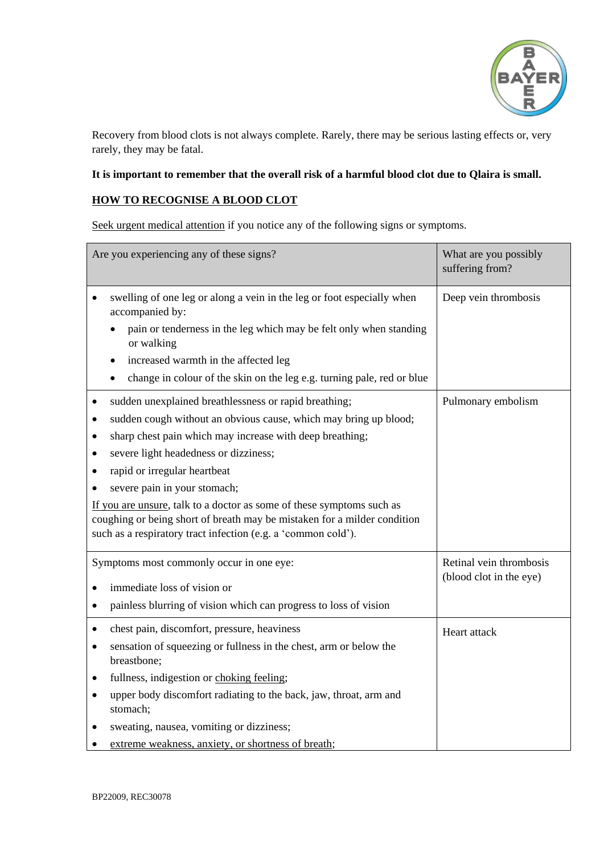

Recovery from blood clots is not always complete. Rarely, there may be serious lasting effects or, very rarely, they may be fatal.

# **It is important to remember that the overall risk of a harmful blood clot due to Qlaira is small.**

# **HOW TO RECOGNISE A BLOOD CLOT**

Seek urgent medical attention if you notice any of the following signs or symptoms.

| Are you experiencing any of these signs?                                                                                                                                                                                                                                                                                                                                                                                                                                                                                                                              | What are you possibly<br>suffering from?           |
|-----------------------------------------------------------------------------------------------------------------------------------------------------------------------------------------------------------------------------------------------------------------------------------------------------------------------------------------------------------------------------------------------------------------------------------------------------------------------------------------------------------------------------------------------------------------------|----------------------------------------------------|
| swelling of one leg or along a vein in the leg or foot especially when<br>accompanied by:<br>pain or tenderness in the leg which may be felt only when standing<br>or walking<br>increased warmth in the affected leg<br>٠                                                                                                                                                                                                                                                                                                                                            | Deep vein thrombosis                               |
| change in colour of the skin on the leg e.g. turning pale, red or blue                                                                                                                                                                                                                                                                                                                                                                                                                                                                                                |                                                    |
| sudden unexplained breathlessness or rapid breathing;<br>٠<br>sudden cough without an obvious cause, which may bring up blood;<br>$\bullet$<br>sharp chest pain which may increase with deep breathing;<br>٠<br>severe light headedness or dizziness;<br>$\bullet$<br>rapid or irregular heartbeat<br>$\bullet$<br>severe pain in your stomach;<br>If you are unsure, talk to a doctor as some of these symptoms such as<br>coughing or being short of breath may be mistaken for a milder condition<br>such as a respiratory tract infection (e.g. a 'common cold'). | Pulmonary embolism                                 |
| Symptoms most commonly occur in one eye:                                                                                                                                                                                                                                                                                                                                                                                                                                                                                                                              | Retinal vein thrombosis<br>(blood clot in the eye) |
| immediate loss of vision or                                                                                                                                                                                                                                                                                                                                                                                                                                                                                                                                           |                                                    |
| painless blurring of vision which can progress to loss of vision<br>$\bullet$                                                                                                                                                                                                                                                                                                                                                                                                                                                                                         |                                                    |
| chest pain, discomfort, pressure, heaviness<br>$\bullet$<br>sensation of squeezing or fullness in the chest, arm or below the<br>$\bullet$<br>breastbone;<br>fullness, indigestion or choking feeling;<br>$\bullet$<br>upper body discomfort radiating to the back, jaw, throat, arm and<br>٠<br>stomach;                                                                                                                                                                                                                                                             | Heart attack                                       |
| sweating, nausea, vomiting or dizziness;<br>extreme weakness, anxiety, or shortness of breath;                                                                                                                                                                                                                                                                                                                                                                                                                                                                        |                                                    |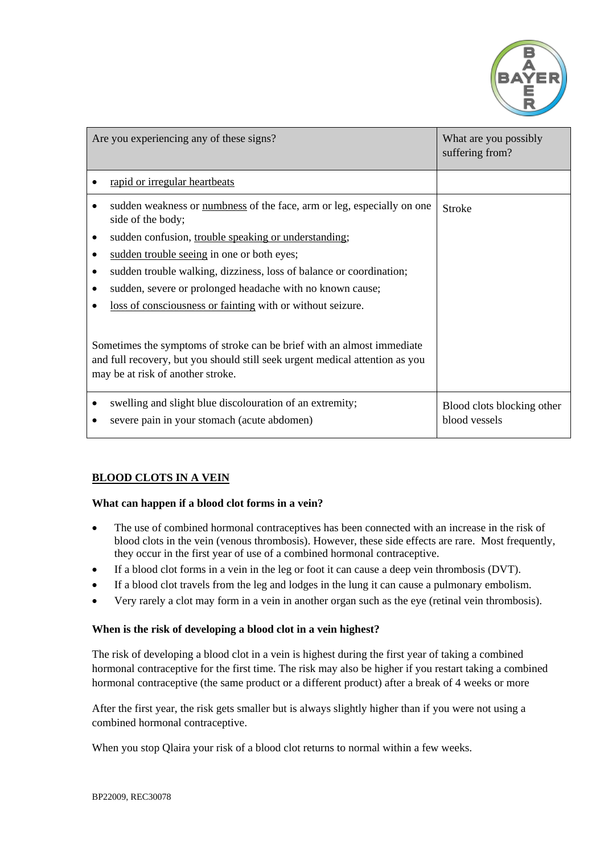

| Are you experiencing any of these signs?                                                                                                                                                                                 | What are you possibly<br>suffering from?    |  |
|--------------------------------------------------------------------------------------------------------------------------------------------------------------------------------------------------------------------------|---------------------------------------------|--|
| rapid or irregular heartbeats                                                                                                                                                                                            |                                             |  |
| sudden weakness or numbness of the face, arm or leg, especially on one<br>side of the body;<br>sudden confusion, trouble speaking or understanding;<br>٠<br>sudden trouble seeing in one or both eyes;<br>٠              | Stroke                                      |  |
| sudden trouble walking, dizziness, loss of balance or coordination;<br>$\bullet$<br>sudden, severe or prolonged headache with no known cause;<br>$\bullet$<br>loss of consciousness or fainting with or without seizure. |                                             |  |
| Sometimes the symptoms of stroke can be brief with an almost immediate<br>and full recovery, but you should still seek urgent medical attention as you<br>may be at risk of another stroke.                              |                                             |  |
| swelling and slight blue discolouration of an extremity;<br>severe pain in your stomach (acute abdomen)                                                                                                                  | Blood clots blocking other<br>blood vessels |  |

# **BLOOD CLOTS IN A VEIN**

#### **What can happen if a blood clot forms in a vein?**

- The use of combined hormonal contraceptives has been connected with an increase in the risk of blood clots in the vein (venous thrombosis). However, these side effects are rare. Most frequently, they occur in the first year of use of a combined hormonal contraceptive.
- If a blood clot forms in a vein in the leg or foot it can cause a deep vein thrombosis (DVT).
- If a blood clot travels from the leg and lodges in the lung it can cause a pulmonary embolism.
- Very rarely a clot may form in a vein in another organ such as the eye (retinal vein thrombosis).

#### **When is the risk of developing a blood clot in a vein highest?**

The risk of developing a blood clot in a vein is highest during the first year of taking a combined hormonal contraceptive for the first time. The risk may also be higher if you restart taking a combined hormonal contraceptive (the same product or a different product) after a break of 4 weeks or more

After the first year, the risk gets smaller but is always slightly higher than if you were not using a combined hormonal contraceptive.

When you stop Qlaira your risk of a blood clot returns to normal within a few weeks.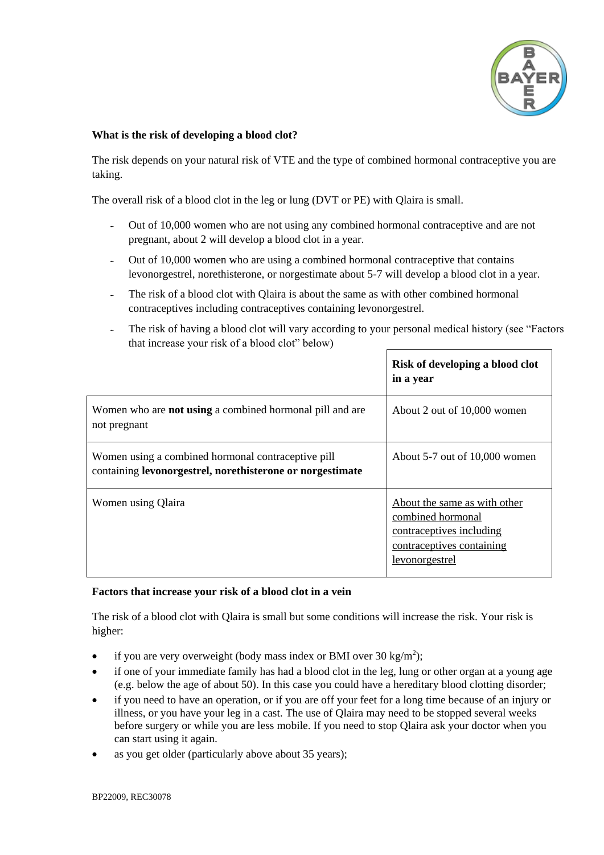

### **What is the risk of developing a blood clot?**

The risk depends on your natural risk of VTE and the type of combined hormonal contraceptive you are taking.

The overall risk of a blood clot in the leg or lung (DVT or PE) with Qlaira is small.

- Out of 10,000 women who are not using any combined hormonal contraceptive and are not pregnant, about 2 will develop a blood clot in a year.
- Out of 10,000 women who are using a combined hormonal contraceptive that contains levonorgestrel, norethisterone, or norgestimate about 5-7 will develop a blood clot in a year.
- The risk of a blood clot with Qlaira is about the same as with other combined hormonal contraceptives including contraceptives containing levonorgestrel.
- The risk of having a blood clot will vary according to your personal medical history (see "Factors") that increase your risk of a blood clot" below)

|                                                                                                                 | Risk of developing a blood clot<br>in a year                                                                                 |
|-----------------------------------------------------------------------------------------------------------------|------------------------------------------------------------------------------------------------------------------------------|
| Women who are <b>not using</b> a combined hormonal pill and are<br>not pregnant                                 | About 2 out of 10,000 women                                                                                                  |
| Women using a combined hormonal contraceptive pill<br>containing levonorgestrel, norethisterone or norgestimate | About 5-7 out of 10,000 women                                                                                                |
| Women using Qlaira                                                                                              | About the same as with other<br>combined hormonal<br>contraceptives including<br>contraceptives containing<br>levonorgestrel |

#### **Factors that increase your risk of a blood clot in a vein**

The risk of a blood clot with Qlaira is small but some conditions will increase the risk. Your risk is higher:

- if you are very overweight (body mass index or BMI over 30 kg/m<sup>2</sup>);
- if one of your immediate family has had a blood clot in the leg, lung or other organ at a young age (e.g. below the age of about 50). In this case you could have a hereditary blood clotting disorder;
- if you need to have an operation, or if you are off your feet for a long time because of an injury or illness, or you have your leg in a cast. The use of Qlaira may need to be stopped several weeks before surgery or while you are less mobile. If you need to stop Qlaira ask your doctor when you can start using it again.
- as you get older (particularly above about 35 years);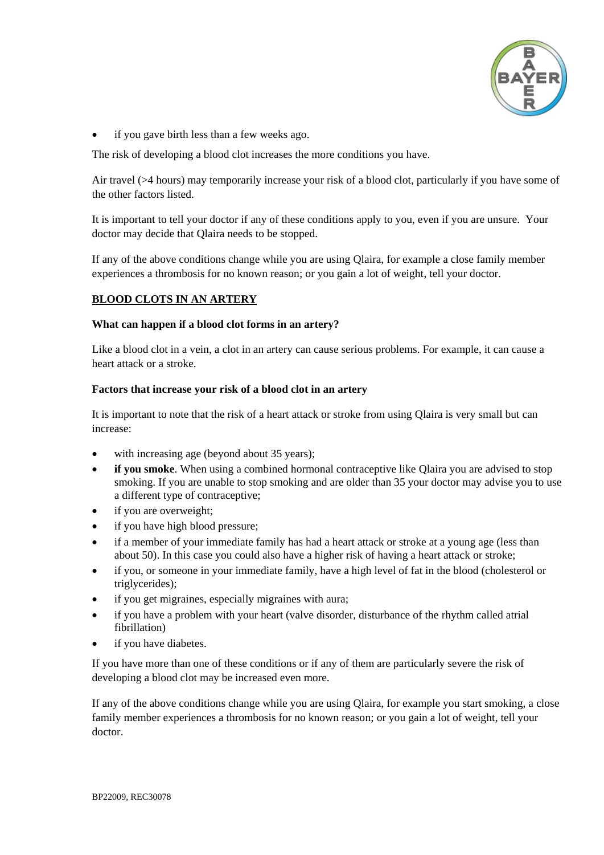

if you gave birth less than a few weeks ago.

The risk of developing a blood clot increases the more conditions you have.

Air travel (>4 hours) may temporarily increase your risk of a blood clot, particularly if you have some of the other factors listed.

It is important to tell your doctor if any of these conditions apply to you, even if you are unsure. Your doctor may decide that Qlaira needs to be stopped.

If any of the above conditions change while you are using Qlaira, for example a close family member experiences a thrombosis for no known reason; or you gain a lot of weight, tell your doctor.

# **BLOOD CLOTS IN AN ARTERY**

# **What can happen if a blood clot forms in an artery?**

Like a blood clot in a vein, a clot in an artery can cause serious problems. For example, it can cause a heart attack or a stroke.

# **Factors that increase your risk of a blood clot in an artery**

It is important to note that the risk of a heart attack or stroke from using Qlaira is very small but can increase:

- with increasing age (beyond about 35 years);
- **if you smoke**. When using a combined hormonal contraceptive like Qlaira you are advised to stop smoking. If you are unable to stop smoking and are older than 35 your doctor may advise you to use a different type of contraceptive;
- if you are overweight;
- if you have high blood pressure;
- if a member of your immediate family has had a heart attack or stroke at a young age (less than about 50). In this case you could also have a higher risk of having a heart attack or stroke;
- if you, or someone in your immediate family, have a high level of fat in the blood (cholesterol or triglycerides);
- if you get migraines, especially migraines with aura;
- if you have a problem with your heart (valve disorder, disturbance of the rhythm called atrial fibrillation)
- if you have diabetes.

If you have more than one of these conditions or if any of them are particularly severe the risk of developing a blood clot may be increased even more.

If any of the above conditions change while you are using Qlaira, for example you start smoking, a close family member experiences a thrombosis for no known reason; or you gain a lot of weight, tell your doctor.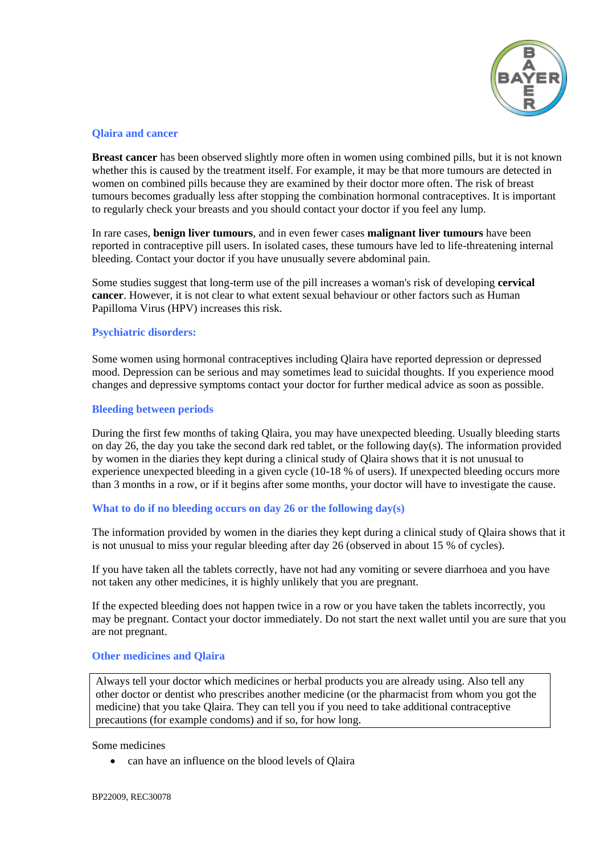

### **Qlaira and cancer**

**Breast cancer** has been observed slightly more often in women using combined pills, but it is not known whether this is caused by the treatment itself. For example, it may be that more tumours are detected in women on combined pills because they are examined by their doctor more often. The risk of breast tumours becomes gradually less after stopping the combination hormonal contraceptives. It is important to regularly check your breasts and you should contact your doctor if you feel any lump.

In rare cases, **benign liver tumours**, and in even fewer cases **malignant liver tumours** have been reported in contraceptive pill users. In isolated cases, these tumours have led to life-threatening internal bleeding. Contact your doctor if you have unusually severe abdominal pain.

Some studies suggest that long-term use of the pill increases a woman's risk of developing **cervical cancer**. However, it is not clear to what extent sexual behaviour or other factors such as Human Papilloma Virus (HPV) increases this risk.

# **Psychiatric disorders:**

Some women using hormonal contraceptives including Qlaira have reported depression or depressed mood. Depression can be serious and may sometimes lead to suicidal thoughts. If you experience mood changes and depressive symptoms contact your doctor for further medical advice as soon as possible.

#### **Bleeding between periods**

During the first few months of taking Qlaira, you may have unexpected bleeding. Usually bleeding starts on day 26, the day you take the second dark red tablet, or the following day(s). The information provided by women in the diaries they kept during a clinical study of Qlaira shows that it is not unusual to experience unexpected bleeding in a given cycle (10-18 % of users). If unexpected bleeding occurs more than 3 months in a row, or if it begins after some months, your doctor will have to investigate the cause.

#### **What to do if no bleeding occurs on day 26 or the following day(s)**

The information provided by women in the diaries they kept during a clinical study of Qlaira shows that it is not unusual to miss your regular bleeding after day 26 (observed in about 15 % of cycles).

If you have taken all the tablets correctly, have not had any vomiting or severe diarrhoea and you have not taken any other medicines, it is highly unlikely that you are pregnant.

If the expected bleeding does not happen twice in a row or you have taken the tablets incorrectly, you may be pregnant. Contact your doctor immediately. Do not start the next wallet until you are sure that you are not pregnant.

#### **Other medicines and Qlaira**

Always tell your doctor which medicines or herbal products you are already using. Also tell any other doctor or dentist who prescribes another medicine (or the pharmacist from whom you got the medicine) that you take Qlaira. They can tell you if you need to take additional contraceptive precautions (for example condoms) and if so, for how long.

Some medicines

• can have an influence on the blood levels of Qlaira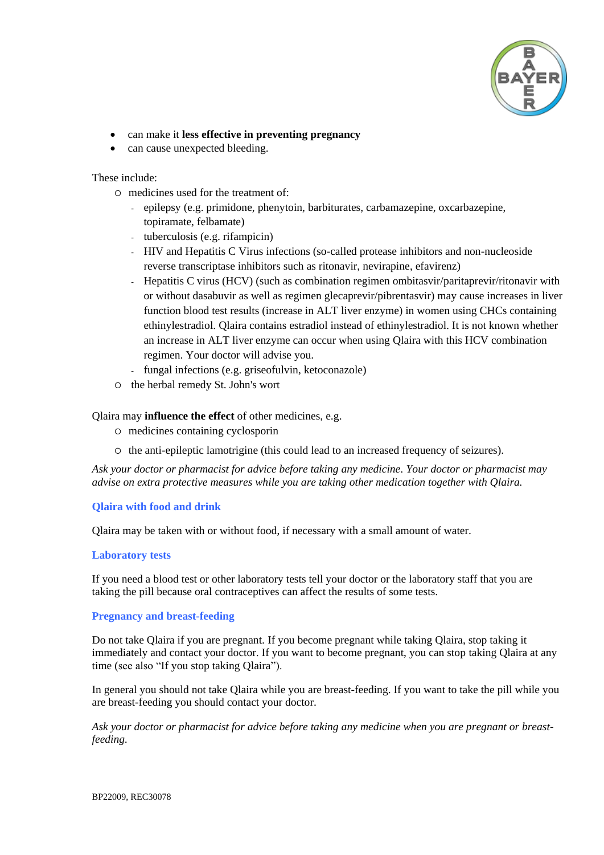

- can make it **less effective in preventing pregnancy**
- can cause unexpected bleeding.

#### These include:

- medicines used for the treatment of:
	- epilepsy (e.g. primidone, phenytoin, barbiturates, carbamazepine, oxcarbazepine, topiramate, felbamate)
	- tuberculosis (e.g. rifampicin)
	- HIV and Hepatitis C Virus infections (so-called protease inhibitors and non-nucleoside reverse transcriptase inhibitors such as ritonavir, nevirapine, efavirenz)
	- Hepatitis C virus (HCV) (such as combination regimen ombitasvir/paritaprevir/ritonavir with or without dasabuvir as well as regimen glecaprevir/pibrentasvir) may cause increases in liver function blood test results (increase in ALT liver enzyme) in women using CHCs containing ethinylestradiol. Qlaira contains estradiol instead of ethinylestradiol. It is not known whether an increase in ALT liver enzyme can occur when using Qlaira with this HCV combination regimen. Your doctor will advise you.
	- fungal infections (e.g. griseofulvin, ketoconazole)
- the herbal remedy St. John's wort

#### Qlaira may **influence the effect** of other medicines, e.g.

- medicines containing cyclosporin
- $\circ$  the anti-epileptic lamotrigine (this could lead to an increased frequency of seizures).

*Ask your doctor or pharmacist for advice before taking any medicine. Your doctor or pharmacist may advise on extra protective measures while you are taking other medication together with Qlaira.*

#### **Qlaira with food and drink**

Qlaira may be taken with or without food, if necessary with a small amount of water.

#### **Laboratory tests**

If you need a blood test or other laboratory tests tell your doctor or the laboratory staff that you are taking the pill because oral contraceptives can affect the results of some tests.

### **Pregnancy and breast-feeding**

Do not take Qlaira if you are pregnant. If you become pregnant while taking Qlaira, stop taking it immediately and contact your doctor. If you want to become pregnant, you can stop taking Qlaira at any time (see also "If you stop taking Qlaira").

In general you should not take Qlaira while you are breast-feeding. If you want to take the pill while you are breast-feeding you should contact your doctor.

*Ask your doctor or pharmacist for advice before taking any medicine when you are pregnant or breastfeeding.*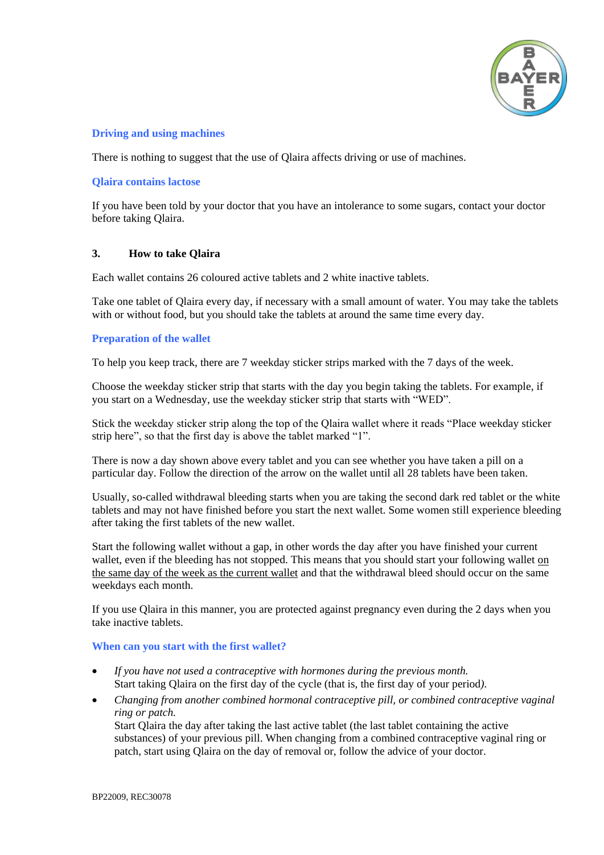

# **Driving and using machines**

There is nothing to suggest that the use of Qlaira affects driving or use of machines.

### **Qlaira contains lactose**

If you have been told by your doctor that you have an intolerance to some sugars, contact your doctor before taking Qlaira.

#### **3. How to take Qlaira**

Each wallet contains 26 coloured active tablets and 2 white inactive tablets.

Take one tablet of Qlaira every day, if necessary with a small amount of water. You may take the tablets with or without food, but you should take the tablets at around the same time every day.

#### **Preparation of the wallet**

To help you keep track, there are 7 weekday sticker strips marked with the 7 days of the week.

Choose the weekday sticker strip that starts with the day you begin taking the tablets. For example, if you start on a Wednesday, use the weekday sticker strip that starts with "WED".

Stick the weekday sticker strip along the top of the Qlaira wallet where it reads "Place weekday sticker strip here", so that the first day is above the tablet marked "1".

There is now a day shown above every tablet and you can see whether you have taken a pill on a particular day. Follow the direction of the arrow on the wallet until all 28 tablets have been taken.

Usually, so-called withdrawal bleeding starts when you are taking the second dark red tablet or the white tablets and may not have finished before you start the next wallet. Some women still experience bleeding after taking the first tablets of the new wallet.

Start the following wallet without a gap, in other words the day after you have finished your current wallet, even if the bleeding has not stopped. This means that you should start your following wallet on the same day of the week as the current wallet and that the withdrawal bleed should occur on the same weekdays each month.

If you use Qlaira in this manner, you are protected against pregnancy even during the 2 days when you take inactive tablets.

#### **When can you start with the first wallet?**

- *If you have not used a contraceptive with hormones during the previous month.* Start taking Qlaira on the first day of the cycle (that is, the first day of your period*).*
- *Changing from another combined hormonal contraceptive pill, or combined contraceptive vaginal ring or patch.*

Start Qlaira the day after taking the last active tablet (the last tablet containing the active substances) of your previous pill. When changing from a combined contraceptive vaginal ring or patch, start using Qlaira on the day of removal or, follow the advice of your doctor.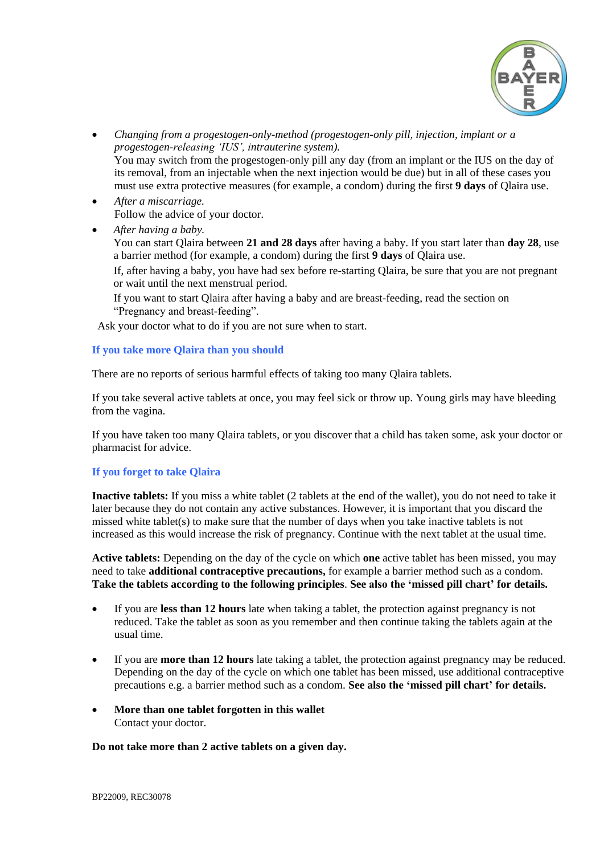

- *Changing from a progestogen-only-method (progestogen-only pill, injection, implant or a progestogen-releasing 'IUS', intrauterine system).* You may switch from the progestogen-only pill any day (from an implant or the IUS on the day of its removal, from an injectable when the next injection would be due) but in all of these cases you must use extra protective measures (for example, a condom) during the first **9 days** of Qlaira use.
- *After a miscarriage.* Follow the advice of your doctor.
- *After having a baby.*

You can start Qlaira between **21 and 28 days** after having a baby. If you start later than **day 28**, use a barrier method (for example, a condom) during the first **9 days** of Qlaira use.

If, after having a baby, you have had sex before re-starting Qlaira, be sure that you are not pregnant or wait until the next menstrual period.

If you want to start Qlaira after having a baby and are breast-feeding, read the section on "Pregnancy and breast-feeding".

Ask your doctor what to do if you are not sure when to start.

# **If you take more Qlaira than you should**

There are no reports of serious harmful effects of taking too many Qlaira tablets.

If you take several active tablets at once, you may feel sick or throw up. Young girls may have bleeding from the vagina.

If you have taken too many Qlaira tablets, or you discover that a child has taken some, ask your doctor or pharmacist for advice.

# **If you forget to take Qlaira**

**Inactive tablets:** If you miss a white tablet (2 tablets at the end of the wallet), you do not need to take it later because they do not contain any active substances. However, it is important that you discard the missed white tablet(s) to make sure that the number of days when you take inactive tablets is not increased as this would increase the risk of pregnancy. Continue with the next tablet at the usual time.

**Active tablets:** Depending on the day of the cycle on which **one** active tablet has been missed, you may need to take **additional contraceptive precautions,** for example a barrier method such as a condom. **Take the tablets according to the following principles**. **See also the 'missed pill chart' for details.**

- If you are **less than 12 hours** late when taking a tablet, the protection against pregnancy is not reduced. Take the tablet as soon as you remember and then continue taking the tablets again at the usual time.
- If you are **more than 12 hours** late taking a tablet, the protection against pregnancy may be reduced. Depending on the day of the cycle on which one tablet has been missed, use additional contraceptive precautions e.g. a barrier method such as a condom. **See also the 'missed pill chart' for details.**
- **More than one tablet forgotten in this wallet** Contact your doctor.

#### **Do not take more than 2 active tablets on a given day.**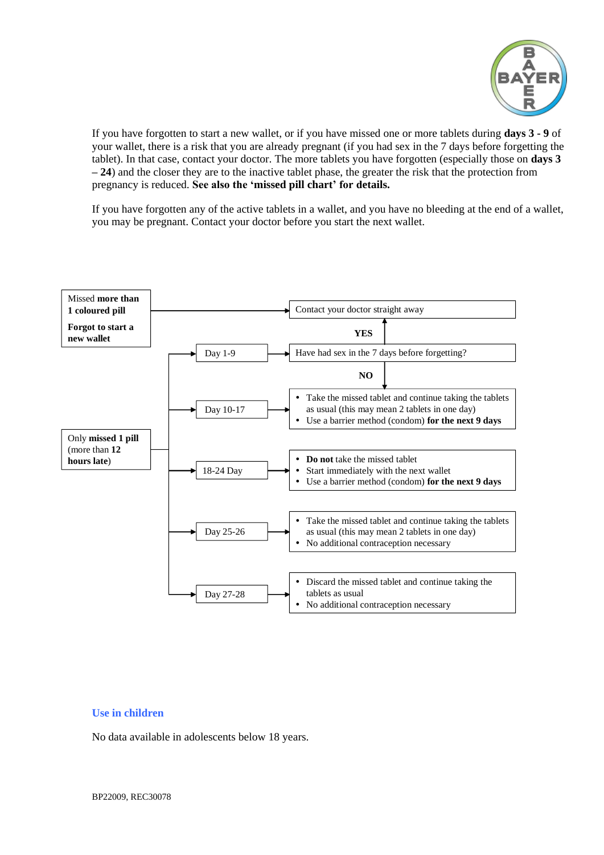

If you have forgotten to start a new wallet, or if you have missed one or more tablets during **days 3 - 9** of your wallet, there is a risk that you are already pregnant (if you had sex in the 7 days before forgetting the tablet). In that case, contact your doctor. The more tablets you have forgotten (especially those on **days 3 – 24**) and the closer they are to the inactive tablet phase, the greater the risk that the protection from pregnancy is reduced. **See also the 'missed pill chart' for details.**

If you have forgotten any of the active tablets in a wallet, and you have no bleeding at the end of a wallet, you may be pregnant. Contact your doctor before you start the next wallet.



#### **Use in children**

No data available in adolescents below 18 years.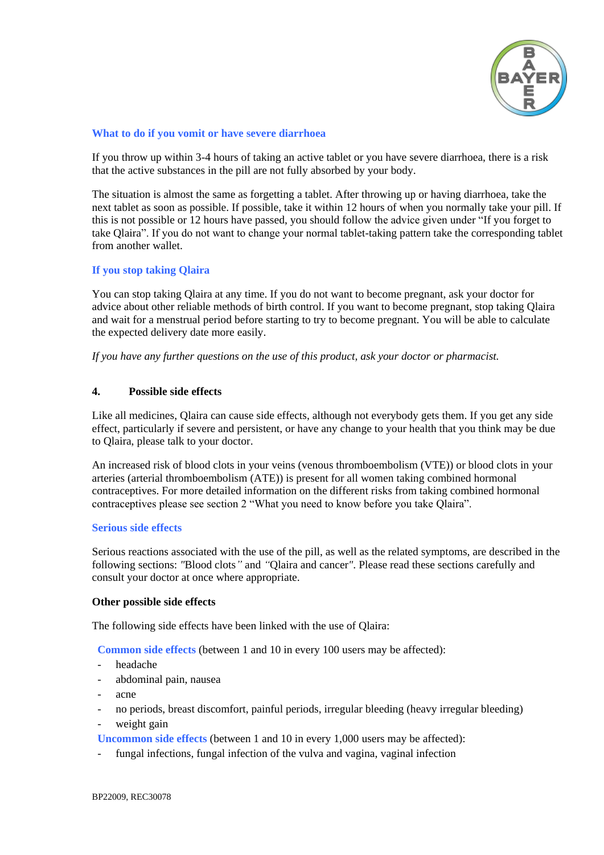

### **What to do if you vomit or have severe diarrhoea**

If you throw up within 3-4 hours of taking an active tablet or you have severe diarrhoea, there is a risk that the active substances in the pill are not fully absorbed by your body.

The situation is almost the same as forgetting a tablet. After throwing up or having diarrhoea, take the next tablet as soon as possible. If possible, take it within 12 hours of when you normally take your pill. If this is not possible or 12 hours have passed, you should follow the advice given under "If you forget to take Qlaira". If you do not want to change your normal tablet-taking pattern take the corresponding tablet from another wallet.

# **If you stop taking Qlaira**

You can stop taking Qlaira at any time. If you do not want to become pregnant, ask your doctor for advice about other reliable methods of birth control. If you want to become pregnant, stop taking Qlaira and wait for a menstrual period before starting to try to become pregnant. You will be able to calculate the expected delivery date more easily.

*If you have any further questions on the use of this product, ask your doctor or pharmacist.*

# **4. Possible side effects**

Like all medicines, Qlaira can cause side effects, although not everybody gets them. If you get any side effect, particularly if severe and persistent, or have any change to your health that you think may be due to Qlaira, please talk to your doctor.

An increased risk of blood clots in your veins (venous thromboembolism (VTE)) or blood clots in your arteries (arterial thromboembolism (ATE)) is present for all women taking combined hormonal contraceptives. For more detailed information on the different risks from taking combined hormonal contraceptives please see section 2 "What you need to know before you take Qlaira".

#### **Serious side effects**

Serious reactions associated with the use of the pill, as well as the related symptoms, are described in the following sections: *"*Blood clots*"* and *"*Qlaira and cancer*"*. Please read these sections carefully and consult your doctor at once where appropriate.

#### **Other possible side effects**

The following side effects have been linked with the use of Qlaira:

**Common side effects** (between 1 and 10 in every 100 users may be affected):

- headache
- abdominal pain, nausea
- acne
- no periods, breast discomfort, painful periods, irregular bleeding (heavy irregular bleeding)
- weight gain

**Uncommon side effects** (between 1 and 10 in every 1,000 users may be affected):

fungal infections, fungal infection of the vulva and vagina, vaginal infection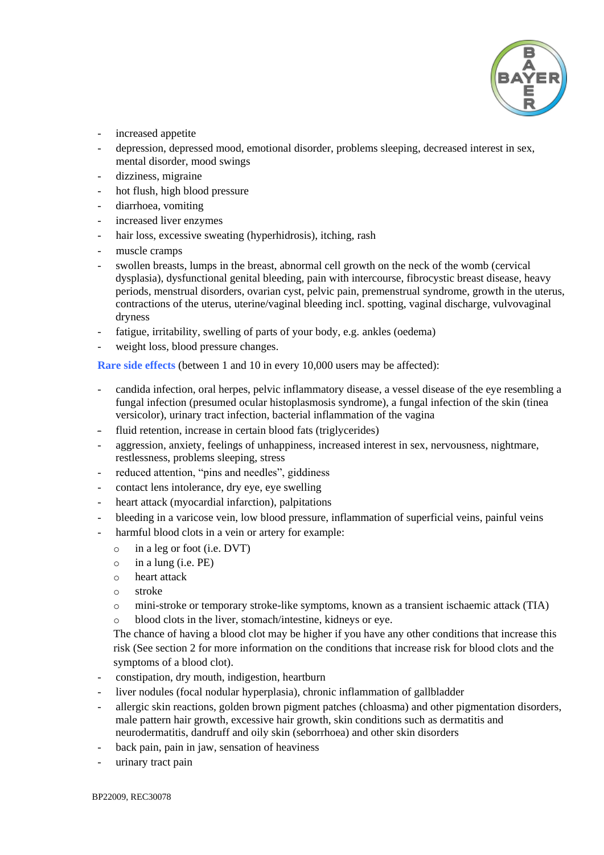

- increased appetite
- depression, depressed mood, emotional disorder, problems sleeping, decreased interest in sex, mental disorder, mood swings
- dizziness, migraine
- hot flush, high blood pressure
- diarrhoea, vomiting
- increased liver enzymes
- hair loss, excessive sweating (hyperhidrosis), itching, rash
- muscle cramps
- swollen breasts, lumps in the breast, abnormal cell growth on the neck of the womb (cervical dysplasia), dysfunctional genital bleeding, pain with intercourse, fibrocystic breast disease, heavy periods, menstrual disorders, ovarian cyst, pelvic pain, premenstrual syndrome, growth in the uterus, contractions of the uterus, uterine/vaginal bleeding incl. spotting, vaginal discharge, vulvovaginal dryness
- fatigue, irritability, swelling of parts of your body, e.g. ankles (oedema)
- weight loss, blood pressure changes.

**Rare side effects** (between 1 and 10 in every 10,000 users may be affected):

- candida infection, oral herpes, pelvic inflammatory disease, a vessel disease of the eye resembling a fungal infection (presumed ocular histoplasmosis syndrome), a fungal infection of the skin (tinea versicolor), urinary tract infection, bacterial inflammation of the vagina
- fluid retention, increase in certain blood fats (triglycerides)
- aggression, anxiety, feelings of unhappiness, increased interest in sex, nervousness, nightmare, restlessness, problems sleeping, stress
- reduced attention, "pins and needles", giddiness
- contact lens intolerance, dry eye, eye swelling
- heart attack (myocardial infarction), palpitations
- bleeding in a varicose vein, low blood pressure, inflammation of superficial veins, painful veins
- harmful blood clots in a vein or artery for example:
	- o in a leg or foot (i.e. DVT)
	- $\circ$  in a lung (i.e. PE)
	- o heart attack
	- o stroke
	- o mini-stroke or temporary stroke-like symptoms, known as a transient ischaemic attack (TIA)
	- o blood clots in the liver, stomach/intestine, kidneys or eye.

The chance of having a blood clot may be higher if you have any other conditions that increase this risk (See section 2 for more information on the conditions that increase risk for blood clots and the symptoms of a blood clot).

- constipation, dry mouth, indigestion, heartburn
- liver nodules (focal nodular hyperplasia), chronic inflammation of gallbladder
- allergic skin reactions, golden brown pigment patches (chloasma) and other pigmentation disorders, male pattern hair growth, excessive hair growth, skin conditions such as dermatitis and neurodermatitis, dandruff and oily skin (seborrhoea) and other skin disorders
- back pain, pain in jaw, sensation of heaviness
- urinary tract pain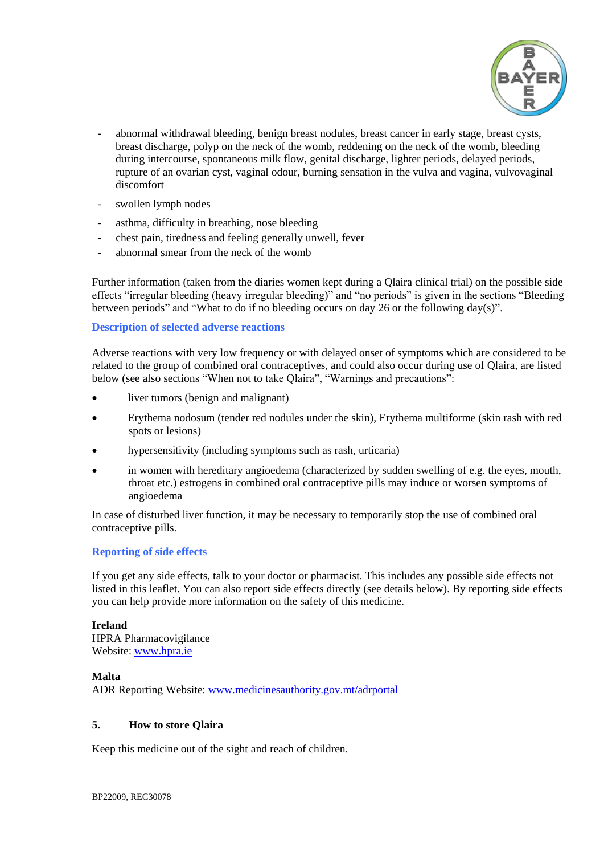

- abnormal withdrawal bleeding, benign breast nodules, breast cancer in early stage, breast cysts, breast discharge, polyp on the neck of the womb, reddening on the neck of the womb, bleeding during intercourse, spontaneous milk flow, genital discharge, lighter periods, delayed periods, rupture of an ovarian cyst, vaginal odour, burning sensation in the vulva and vagina, vulvovaginal discomfort
- swollen lymph nodes
- asthma, difficulty in breathing, nose bleeding
- chest pain, tiredness and feeling generally unwell, fever
- abnormal smear from the neck of the womb

Further information (taken from the diaries women kept during a Qlaira clinical trial) on the possible side effects "irregular bleeding (heavy irregular bleeding)" and "no periods" is given in the sections "Bleeding between periods" and "What to do if no bleeding occurs on day 26 or the following day(s)".

# **Description of selected adverse reactions**

Adverse reactions with very low frequency or with delayed onset of symptoms which are considered to be related to the group of combined oral contraceptives, and could also occur during use of Qlaira, are listed below (see also sections "When not to take Qlaira", "Warnings and precautions":

- liver tumors (benign and malignant)
- Erythema nodosum (tender red nodules under the skin), Erythema multiforme (skin rash with red spots or lesions)
- hypersensitivity (including symptoms such as rash, urticaria)
- in women with hereditary angioedema (characterized by sudden swelling of e.g. the eyes, mouth, throat etc.) estrogens in combined oral contraceptive pills may induce or worsen symptoms of angioedema

In case of disturbed liver function, it may be necessary to temporarily stop the use of combined oral contraceptive pills.

#### **Reporting of side effects**

If you get any side effects, talk to your doctor or pharmacist. This includes any possible side effects not listed in this leaflet. You can also report side effects directly (see details below). By reporting side effects you can help provide more information on the safety of this medicine.

#### **Ireland**

HPRA Pharmacovigilance Website: [www.hpra.ie](http://www.hpra.ie/)

#### **Malta**

ADR Reporting Website: [www.medicinesauthority.gov.mt/adrportal](http://www.medicinesauthority.gov.mt/adrportal)

#### **5. How to store Qlaira**

Keep this medicine out of the sight and reach of children.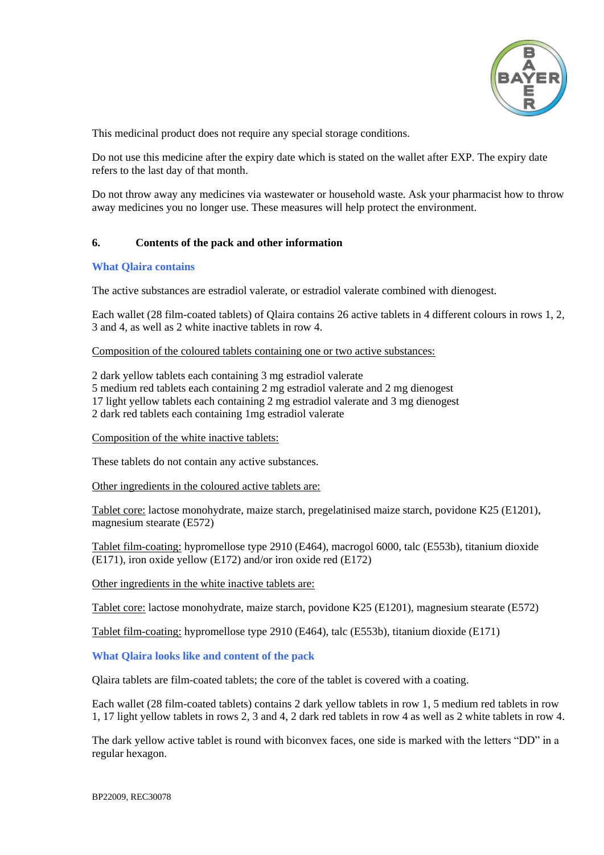

This medicinal product does not require any special storage conditions.

Do not use this medicine after the expiry date which is stated on the wallet after EXP. The expiry date refers to the last day of that month.

Do not throw away any medicines via wastewater or household waste. Ask your pharmacist how to throw away medicines you no longer use. These measures will help protect the environment.

# **6. Contents of the pack and other information**

#### **What Qlaira contains**

The active substances are estradiol valerate, or estradiol valerate combined with dienogest.

Each wallet (28 film-coated tablets) of Qlaira contains 26 active tablets in 4 different colours in rows 1, 2, 3 and 4, as well as 2 white inactive tablets in row 4.

#### Composition of the coloured tablets containing one or two active substances:

2 dark yellow tablets each containing 3 mg estradiol valerate 5 medium red tablets each containing 2 mg estradiol valerate and 2 mg dienogest 17 light yellow tablets each containing 2 mg estradiol valerate and 3 mg dienogest 2 dark red tablets each containing 1mg estradiol valerate

#### Composition of the white inactive tablets:

These tablets do not contain any active substances.

Other ingredients in the coloured active tablets are:

Tablet core: lactose monohydrate, maize starch, pregelatinised maize starch, povidone K25 (E1201), magnesium stearate (E572)

Tablet film-coating: hypromellose type 2910 (E464), macrogol 6000, talc (E553b), titanium dioxide (E171), iron oxide yellow (E172) and/or iron oxide red (E172)

Other ingredients in the white inactive tablets are:

Tablet core: lactose monohydrate, maize starch, povidone K25 (E1201), magnesium stearate (E572)

Tablet film-coating: hypromellose type 2910 (E464), talc (E553b), titanium dioxide (E171)

#### **What Qlaira looks like and content of the pack**

Qlaira tablets are film-coated tablets; the core of the tablet is covered with a coating.

Each wallet (28 film-coated tablets) contains 2 dark yellow tablets in row 1, 5 medium red tablets in row 1, 17 light yellow tablets in rows 2, 3 and 4, 2 dark red tablets in row 4 as well as 2 white tablets in row 4.

The dark yellow active tablet is round with biconvex faces, one side is marked with the letters "DD" in a regular hexagon.